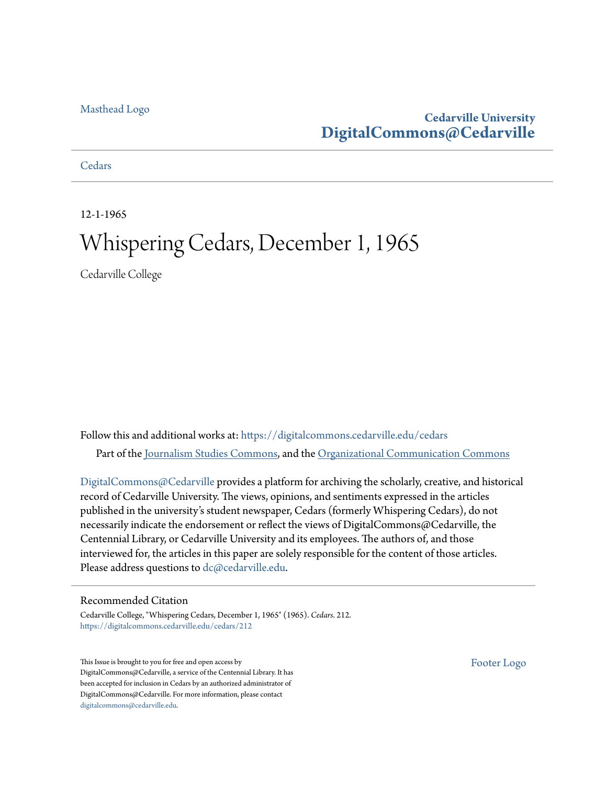#### [Masthead Logo](http://www.cedarville.edu/?utm_source=digitalcommons.cedarville.edu%2Fcedars%2F212&utm_medium=PDF&utm_campaign=PDFCoverPages)

#### **Cedarville University [DigitalCommons@Cedarville](https://digitalcommons.cedarville.edu?utm_source=digitalcommons.cedarville.edu%2Fcedars%2F212&utm_medium=PDF&utm_campaign=PDFCoverPages)**

#### **[Cedars](https://digitalcommons.cedarville.edu/cedars?utm_source=digitalcommons.cedarville.edu%2Fcedars%2F212&utm_medium=PDF&utm_campaign=PDFCoverPages)**

12-1-1965

## Whispering Cedars, December 1, 1965

Cedarville College

Follow this and additional works at: [https://digitalcommons.cedarville.edu/cedars](https://digitalcommons.cedarville.edu/cedars?utm_source=digitalcommons.cedarville.edu%2Fcedars%2F212&utm_medium=PDF&utm_campaign=PDFCoverPages) Part of the [Journalism Studies Commons](http://network.bepress.com/hgg/discipline/333?utm_source=digitalcommons.cedarville.edu%2Fcedars%2F212&utm_medium=PDF&utm_campaign=PDFCoverPages), and the [Organizational Communication Commons](http://network.bepress.com/hgg/discipline/335?utm_source=digitalcommons.cedarville.edu%2Fcedars%2F212&utm_medium=PDF&utm_campaign=PDFCoverPages)

[DigitalCommons@Cedarville](http://digitalcommons.cedarville.edu/) provides a platform for archiving the scholarly, creative, and historical record of Cedarville University. The views, opinions, and sentiments expressed in the articles published in the university's student newspaper, Cedars (formerly Whispering Cedars), do not necessarily indicate the endorsement or reflect the views of DigitalCommons@Cedarville, the Centennial Library, or Cedarville University and its employees. The authors of, and those interviewed for, the articles in this paper are solely responsible for the content of those articles. Please address questions to [dc@cedarville.edu.](mailto:dc@cedarville.edu)

#### Recommended Citation

Cedarville College, "Whispering Cedars, December 1, 1965" (1965). *Cedars*. 212. [https://digitalcommons.cedarville.edu/cedars/212](https://digitalcommons.cedarville.edu/cedars/212?utm_source=digitalcommons.cedarville.edu%2Fcedars%2F212&utm_medium=PDF&utm_campaign=PDFCoverPages)

This Issue is brought to you for free and open access by DigitalCommons@Cedarville, a service of the Centennial Library. It has been accepted for inclusion in Cedars by an authorized administrator of DigitalCommons@Cedarville. For more information, please contact [digitalcommons@cedarville.edu](mailto:digitalcommons@cedarville.edu).

[Footer Logo](http://www.cedarville.edu/Academics/Library.aspx?utm_source=digitalcommons.cedarville.edu%2Fcedars%2F212&utm_medium=PDF&utm_campaign=PDFCoverPages)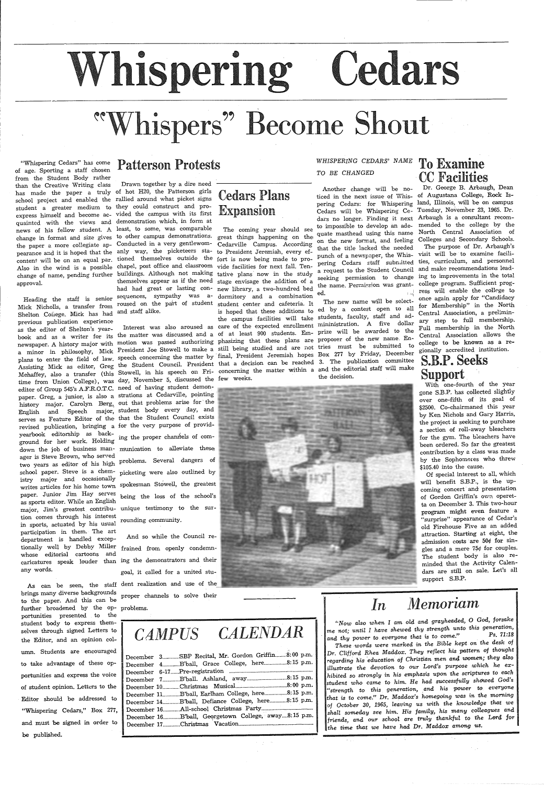# Whispering Cedars

# **hispers" Become Shout**

"Whispering Cedars" has come Patterson Protests of age. Sporting a staff chosen from the Student Body rather than the Creative Writing class has made the paper <sup>a</sup>truly of hot H20, the Patterson girls school project and enabled the rallied around what picket signs student a greater medium to they could construct and proexpress himself and become ac-vided the campus with its first quainted with the views and demonstration which, in form at news of his fellow student. A least, to some, was comparable change in format and size gives to other campus demonstrations. great things happening on the the paper a more collegiate ap-Conducted in a very gentlewom-Cedarville Campus. According pearance and it is hoped that the anly way, the picketeers sta- to President Jeremiah, every efapproval.

Mick Nicholls, a transfer from roused on the part of student student center and cafeteria. It Shelton College. Mick has had and staff alike. previous publication experience<br>as the editor of Shelton's yearas the editor of Shelton's yearas the editor of Shelton's year-<br>book and as a writer for its the matter was discussed and a of at least 900 students. Em- prize will be awarded to the book and as a writer for its die-madel was discussed deed and the server of the new name. En-<br>hewspaper. A history major with motion was passed authorizing phasizing that these plans are proposer of the new name. Ennewspaper. A history major with modell was passed during and the studied and are not tries must be submitted to<br>a minor in philosophy, Mick President Joe Stowell to make a still being studied and are not tries must be subm a minor in philosophy, Mick Tresident for booken to make a straight and hopes Box 277 by Friday, December<br>plans to enter the field of law. speech concerning the matter by final, President Jeremiah hopes Box 277 by Friday, plans to enter the field of law, speech concerning are matter by the student and be reached 3. The publication committee<br>Assisting Mick as editor, Greg the Student Council. President that a decision can be reached 3. The p Mehaffey, also a transfer (this Stowell, in his speech on Fri- concerning the matter within <sup>a</sup> the decision. time from Union College), was day, November 5, discussed the few weeks. editor of Group 545's A.F.R.O.T.C. need of having student demonpaper. Greg, a junior, is also a strations at Cedarville, pointing history major. Carolyn Berg, out that problems arise for the English and Speech major, student body every day, and serves as Feature Editor of the that the Student Council exists revised publication, bringing <sup>a</sup> for the very purpose of providyearbook editorship as background for her work. Holding down the job of business man- munication to alleviate these ager is Steve Brown, who served ager is steve Liown, who served<br>two years as editor of his high problems. Several dangers of school paper. Steve is a chemistry major and occasionally writes articles for his home town spokesman Stowell, the greatest paper. Junior Jim Hay serves being the loss of the school's as sports editor. While an English major, Jim's greatest contribu-unique testimony to the surtion comes through his interest in sports, actuated by his usual participation in them. The art department is handled exceptionally well by Debby Miller whose editorial cartoons and any words.

brings many diverse backgrounds to the paper. And this can be further broadened by the op-problems. portunities presented to the student body to express themselves through signed Letters to the Editor, and an opinion column. Students are encouraged to take advantage of these opportunities and express the voice of student opinion. Letters to the Editor should be addressed to "Whispering Cedars," Box 277, and must be signed in order to be published.

content will be on an equal par. tioned themselves outside the fort is now being made to prochange of name, pending further buildings. Although not making tative plans· now in the study Heading the staff is senior sequences, sympathy was a-dormitory and a combination Drawn together by a dire need themselves appear as if the need stage envisage the addition of <sup>a</sup> had had great or lasting con-new library, a two-hundred bed

ing the proper chamtels of com<sup>p</sup>icketing were also outlined by rounding community.

caricatures speak louder than ing the demonstrators and their As can be seen, the staff dent realization and use of the And so while the Council re frained from openly condemngoal, it called for a united stuproper channels to solve their

## Cedars Plans Expansion

The coming year should see Interest was also aroused as care of the expected enrollment minimistration. A five dollar



#### *WHISPERING CEDARS-' NAME*  To Examine *TO BE CHANGED*

ticed in the next issue of Whis- of Augustana College, Rock Is-

is hoped that these additions to ed by a contest open to all the campus facilities will take students, faculty, staff and ad-The new name will be selectand the editorial staff will make

## CC Facilities

content will be on an equal par, tioned themselves outside the fort is now being made to pro-<br>Also in the wind is a possible chapel, post office and classroom vide facilities for next fall. Ten-<br>expect to the Student Counc Another change will be no- Dr. George B. Arbaugh, Dean pering Cedars: for Whispering land, Illinois, will be on campus Cedars will be Whispering Ce- Tuesday, November 23, 1965. Dr. dars no longer. Finding it next Arbaugh is a consultant recomto impossible to develop an ade- mended to the college by the quate masthead using this name North Central Association of on the new format, and feeling Colleges and Secondary Schools. that the title lacked the needed The purpose of Dr. Arbaugh's punch of a newspaper, the Whis- visit will be to examine facilia request to the Student Council and make recommendations leada request to the Student Council and make recommendations lead-<br>seeking permission to change ing to improvements in the total the name. Permission was grant- college program. Sufficient progress will enable the college to once again apply for "Candidacy for Membership" in the North Central Association, a preliminary step to full membership. Full membership in the North Central Association allows the college to be known as a re<sup>g</sup>ionally accredited institution.

### S.B.P. Seeks Support

With one-fourth of the year gone S.B.P. has collected slightly over one-fifth of its goal of \$2500. Co-chairmaned this year by Ken Nichols and Gary Harris, the project is seeking to purchase a section of roll-away bleachers for the gym. The bleachers have been ordered. So far the greatest contribution by a class was made by the Sophomores who threw \$105.40 into the cause.

Of special interest to all, which will benefit S.B.P., is the upcoming concert· and presentation of Gordon Griffin's own operetta on December 3. This two-hour program might even feature <sup>a</sup> "surprise" · appearance of Cedar's old Firehouse Five as an added attraction. Starting at eight, the admission costs are  $50¢$  for sin<sup>g</sup>les and a mere 75¢ for couples. The student body is also reminded that the Activity Calendars are still on sale. Let's all support S.B.P.

 $\sigma_{\rm{max}}$ 

## *In Memoriam*

*'·Now also when I am old and grayheaded,* 0 God, *forsake me not; until I have shewed thy strength unto this gerieration,*  and thy power to everyone that is to come." *These words were marked in the Bible kept on the* desk *of Dr. Clifford Rhea Maddox. They reflect his pattern of thought regarding* his *·education of Christian men and women; they* also *illustrate the devotion to our* Lord's purpose *.which he exhibited* so *stro-ngly in* his *emphasis upon the* scriptures to *each* 

*student who came* to *him.* He *had successfully shdWed* God's *"strength* to *this generation, and* his *power to everyone that is* to come." *Dr. Maddox's hamegoing was in the morning of October 30,* 1965, *leaving us with the knowledge that we shall someday* see *him.* His *family, his many colleagues and friends, and our* school *are truly thankful* to *the* Lord *for the time that we have had Dr. Maddox among us.* 

## CAMPUS CALENDAR December 3...........SBP Recital, Mr. Gordon Griffin........8:00 p.m. December 4.............. B'ball, Grace College, here.................. 8:15 p.m.

|              | December 6-17Pre-registration<br>---------------------------- |
|--------------|---------------------------------------------------------------|
| December 7   | 8:15 p.m.<br>B'ball. Ashland. away                            |
|              |                                                               |
| December 11. | B'ball, Earlham College, here8:15 p.m.                        |
| December 14  | B'ball, Defiance College, here 8:15 p.m.                      |
| December 16. | All-school Christmas Party<br>-----------------------------   |
| December 16. | B'ball, Georgetown College, away8:15 p.m.                     |
| December 17. |                                                               |
|              |                                                               |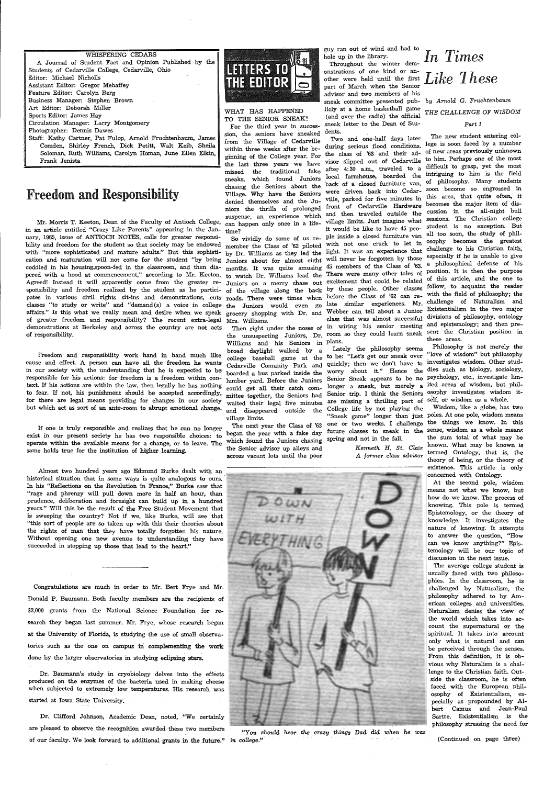WHISPERING CEDARS A Journal of Student Fact and Opinion Published by the Students of Cedarville College, Cedarville, Ohio Editor: Michael Nicholls Assistant Editor: Gregor Mehaffey Feature Editor: Carolyn Berg Business Manager: Stephen Brown Art Editor: Deborah Miller Sports Editor: James Hay Circulation Manager: Larry Montgomery Photographer: Dennis Dawes Staff: Kathy Cartner, Pat Fulop, Arnold Fruchtenbaum, James Comden, Shirley French, Dick Petitt, Walt Keib, Sheila Soloman, Ruth Williams, Carolyn Homan, June Ellen Elkin, Frank Jenista

## Freedom and Responsibility

Mr. Morris T. Keeton, Dean of the Faculty of Antioch College, in an article entitled "Crazy Like Parents" appearing in the January, 1965, issue of ANTIOCH NOTES, calls for greater responsibility and freedom for the student so that society may be endowed with "more sophisticated and mature adults." But this sophistication and maturation will not come for the student "by being coddled in his housing,spoon-fed in the classroom, and then diapered with a hood at commencement," according to Mr. Keeton. Agreed! Instead it will apparently come from the greater responsibility and freedom realized by the student as he participates in various civil rights sit-ins and demonstrations, cuts classes "to study or write" and "demand(s) a voice in college affairs." Is this what we really mean and desire when we speak of greater freedom and responsibility? The recent extra-legal Mrs. Williams. demonstrations at Berkeley and across the country are not acts of responsibility.

Freedom and responsibility work hand in hand much like cause and effect. A person can have all the freedom he wants in our society with the understanding that he is expected to be responsible for his actions: for freedom is a freedom within context. If his actions are within the law, then legally he has nothing to fear. If not, his punishment should be accepted accordingly, for there are legal means providing for changes in our society but which act as sort of an ante-room to abrupt emotional change.

If one is truly responsible and realizes that he can no longer exist in our present society he has two responsible choices: to operate within the available means for a change, or to leave. The same holds true for the institution of higher learning.

Almost two hundred years ago Edmund Burke dealt with an historical situation that in some ways is quite analogous to ours. In his "Reflections on the Revolution in France," Burke saw that "rage and phrenzy will pull down more in half an hour, than prudence, deliberation and foresight can build up in a hundred years." Will this be the result of the Free Student Movement that is sweeping the country? Not if we, like Burke, will see that "this sort of people are so taken up with this their theories about the rights of man that they have totally forgotten his nature. Without opening one new avenue to understanding; they have succeeded in stopping up those that lead to the heart."

Congratulations are much in order to Mr. Bert Frye and Mr. Donald P. Baumann. Both faculty members are the recipients of \$2,000 grants from the National Science Foundation for research they began last summer. Mr. Frye, whose research began at the University of Florida, is studying the use of small observatories such as the one on campus in complementing the work done by the larger observatories in studying eclipsing stars.

Dr. Baumann's study in cryobiology delves into the effects produced on the enzymes of the bacteria used in making cheese when subjected to extremely low temperatures. His research was started at Iowa State University.

Dr. Clifford Johnson, Academic Dean, noted, "We certainly are pleased to observe the recognition awarded these two members *"You should hear the crazy things Dad did when he was*  of our faculty. We look forward to additional grants in the future." in college." (Continued on page three)



#### WHAT HAS HAPPENED

TO THE SENIOR SNEAK? For the third year in succession, the seniors have sneaked from the Village of Cedarville within three weeks after the beginning of the College year. For the last three years we have missed the traditional fake sneaks, which found Juniors chasing the Seniors about the back of a closed furniture van, Village. Why have the Seniors niors the thrills of prolonged front of Cedarville Hardware<br>niors the thrills of prolonged front of Cedarville Hardware suspense, an experience which and then traveled outside the<br>can happen only once in a life, village limits. Just imagine what can happen only once in a life-

So vividly do some of us reroads. There were times when before the Class of '62 can rethe Juniors would even go

Williams and his Seniors in plans. broad daylight walked by <sup>a</sup> college baseball game at the Cedarville Comunity Park and quickly; then we don't have to investigates wisdom. Other studboarded a bus parked inside the lumber yard. Before the Juniors could get all their catch committee together, the Seniors had mission as a whole.<br>waited their legal five minutes are missing a thrilling part of self, or wisdom as a whole. and disappeared outside the village limits.

which found the Juniors chasing spring and not in the fall. The next year the Class of '63 began the year with a fake day the Senior advisor up alleys and across vacant lots until the poor

guy ran out of wind and had to hole up in the library.

Throughout the winter demonstrations of one kind or another were held until the first  $Like$   $These$ part of March when the Senior advisor and two members of his  $s$ neak committee presented pub- by *Arnold G. Fruchtenbaum* licly at a home basketball game (and over the radio) the official sneak letter to the Dean of Students.

Two and one-half days later the class of '63 and their advisor slipped out of Cedarville after 4: 30 a.m., traveled to <sup>a</sup> local farmhouse, boarded the time? it would be like to have 45 peo-<br>time?  $\frac{1}{2}$  it would be like to have 45 peo-<br>So vividly do some of us  $r_{\text{ex}}$  ple inside a closed furniture van by Dr. Williams as they led the light. It was an experience that to watch Dr. Williams lead the There were many other tales of of the village along the back by these people. Other classes

Lately the philosophy seems to be: "Let's get our sneak over Senior trip. I think the Seniors College life by not playing the

# *In Times*

## THE CHALLENGE OF WISDOM

#### *Part* I

during serious flood conditions. lege is soon faced by a number village. Why have the Seinors<br>denied themselves and the Ju- ville, parked for five minutes in this area, that quite often, it So vividly do some of ds re-<br>member the Class of '62 piloted with not one crack to let in osophy becomes the greatest by Dr. Williams as they led the estimate of the forgotten by those especially if he is unable to give months. It was quite amusing 45 members of the Class of '63. a philosophical defense of his Juniors on <sup>a</sup>merry chase out excitement that could be related of this article, and the one to grocery shopping with Dr. and Webber can tell about a Junior Existentialism in the two major<br>grocery shopping with Dr. and Webber can tell about a Junior divisions of philosophy ontology I. White the noses of in wiring his senior meeting and epistemology; and then pre-<br>Then right under the noses of in wiring his senior meeting and the Christian position in the unsuspecting Juniors, Dr. room so they could learn sneak sent the Christian position in late similar experiences. Mr. challenge of Naturalism and class that was almost successful divisions of philosophy, ontology The new student entering colof new areas previously unknown to him. Perhaps one of the most difficult to grasp, yet the most intriguing to him is the field of philosophy. Many students were driven back into Cedar- soon become so engrossed in becomes the major item of discussion in the all-night bull sessions. The Christian college student is no exception. But all too soon, the study of phillight. It was an experience that challenge to his Christian faith, There were many other tales of position. It is then the purpose follow, to acquaint the reader with the field of philosophy; the these areas.

worry about it." Hence the dies such as biology, sociology, Senior Sneak appears to be no psychology, etc., investigate limlonger a sneak, but merely <sup>a</sup> ited areas of wisdom, but phil-Philosophy is not merely the "love of wisdom" but philosophy osophy investigates wisdom it-

"Sneak game" longer than just poles. At one pole, wisdom means one or two weeks. I challenge the things we know. In this future classes to sneak in the sense, wisdom as <sup>a</sup>whole means Wisdom, like a globe, has two the sum total of what may be *Kenneth H. St. Clair* known. What may be known is *A former* class *advisor* termed Ontology, that is, the theory of being, or the theory of existence. This article is only concerned with Ontology.

At the second pole, wisdom means not what we know, but how do we know. The process of knowing. This pole is termed Epistemology, or the theory of knowledge. It investigates the nature of knowing. It attempts to answer the question, "How can we know anything?" Epistemology will be our topic of discussion in the next issue.

The average college student is usually faced with two philosophies. In the classroom, he is challenged by Naturalism, the philosophy adhered to by American colleges and universities. Naturalism denies the view of the world which takes into account the supernatural or the spiritual. It takes into account only what is natural and can be perceived through the senses. From this definition, it is obvious why Naturalism is a challenge to the Christian faith. Outside the classroom, he is often faced with the European philosophy of Existentialism, especially as propounded by Albert Camus and Jean-Paul Sartre. Existentialism is the philosophy stressing the need for

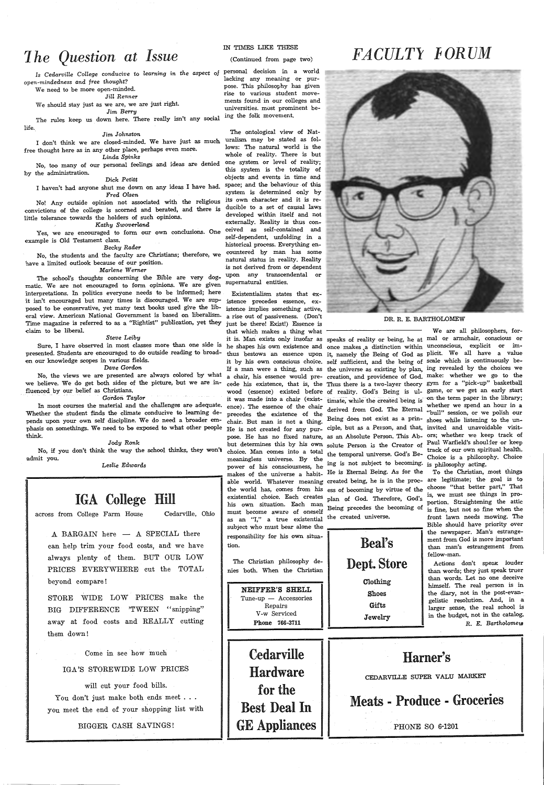## *1 he Question at Issue*

*Is Cedarville College conducive* to *learning in the aspec<sup>t</sup>of*  personal decision in a world *open-mindedness and free thought?* 

We need to be more open-minded. *Jill Renner* 

We should stay just as we are, we are just right.

*Jim Berry* 

The rules keep us down here. There really isn't any social life.

#### *Jim* Johnston

I don't think we are closed-minded. We have just as much free thought here as in any other place, perhaps even more. Linda *Spinks* 

No, too many of our personal feelings and ideas are denied by the administration.

#### Dick *Petitt*

<sup>I</sup>haven't had anyone shut me down on any ideas I have had. *Fred Olsen* 

No! Any outside opinion not associated with the religious convictions of the college is scorned and berated, and there is little tolerance towards the holders of such opinions.

#### *Kathy Swoverland*

Yes, we are encouraged to form our own conclusions. One ceived as self-contained and example is Old Testament class. *Becky Rader* 

No, the students and the faculty are Christians; therefore, we have a limited outlook because of our position. *Marlene Werner* 

The school's thoughts concerning the Bible are very dogmatic. We are not encouraged to form opinions. We are given interpretations. In politics everyone needs to be informed; here it isn't encouraged but many times is discouraged. We are supposed to be conservative, yet many text books used give the liberal view. American National Government is based on liberalism. Time magazine is referred to as a "Rightist" publication, yet they daim to be liberal.

#### *Steve* Leiby

Sure, I have observed in most classes more than one side is he shapes his own existence and once makes a distinction within unconscious, explicit or impresented. Students are encouraged to do outside reading to broaden our knowledge scopes in various fields. *Dave Gordon* 

No, the views we are presented are always colored by what we believe. We do get both sides of the picture, but we are influenced by our belief as Christians.

#### *Gordon TaylOT*

In most courses the material and the challenges are adequate. Whether the student finds the climate conducive to learning depends upon your own self discipline. We do need a broader em<sup>p</sup>hasis on somethings. We need to be exposed to what other people think.

#### *Jody Ronk*

No, if you don't think the way the school thinks, they won't admit you.

Les!ie *Edwards* 

## IGA College Hill

across from College Farm House Cedarville, Ohio

 $A$  BARGAIN here  $-$  A SPECIAL there can help trim your food costs, and we have always plenty of them. BUT OUR LOW PRICES EVERYWHERE cut the TOTAL beyond compare !

STORE WIDE LOW PRICES make the BIG DIFFERENCE 'TWEEN "snipping" away at food costs and REALLY cutting them down!

Come in see how much

IGA'S STOREWIDE LOW PRICES

will cut your food bills. You don't just make both ends meet . . . you meet the end of your shopping list with

BIGGER CASH SAVINGS!

#### IN TIMES LIKE THESE

(Continued from page two)

lacking any meaning or purpose. This philosophy has given rise to various student movements found in our colleges and universities. most prominent being the folk movement.

The ontological view of Nat-

uralism may be stated as follows: The natural world is the whole of reality. There is but one system or level of reality; this system is the totality of objects and events in time and space; and the behaviour of this system is determined only by its own character and it is reducible to a set of causal laws developed within itself and not externally. Reality is thus conself-dependent, unfolding in <sup>a</sup> historical process. Everything encountered by man has some natural status in reality. Reality is not derived from or dependent upon any transcendental supernatural entities.

Existentialism states that ex istence precedes essence, existence implies something active, <sup>a</sup>rise out of passiveness. (Don't a rise out of passiveness. (Don't be there! Exist!) Essence is DR.R.E. BARTHOLOMEW that which makes a thing what -------------- We are all philosophers, forit is. Man exists only insofar as speaks of reality or being, he at mal or armchair, conscious or thus bestows an essence upon it, namely the Being of God as plicit. We all have a value it by his own conscious choice. self sufficient, and the being of scale which is continuously be-If a man were <sup>a</sup>thing, such as the universe as existing by plan, ing revealed by the choices we <sup>a</sup>chair, his essence would pre- creation, and providence of God. make: whether we go to the cede his existence, that is, the Thus there is a two-layer theory gym for a "pick-up" basketball wood (essence) existed before of reality. God's Being is ul- game, or we get an early start it was made into a chair (exist- timate, while the created being is on the term paper in the library; ence). The essence of the chair derived from God. The Eternal whether we spend an hour in a precedes the existence of the existence of the contract the session, or we polish our chair. But man is not a thing. Being does not exist as a prin- shoes while listening to the un-He is not created for any pur- ciple, but as a Person, and that, invited and unavoidable visitpose. He has no fixed nature, as an Absolute Person. This Ab- ors; whether we keep track of but determines this by his own solute Person is the Creator of Paul Warfield's shoulder or keep<br>choice. Man comes into a total choice. Man comes into a total the temporal universe. God's Be-<br>meaningless universe. By the temporal universe. God's Be-<br>Choice is a philosophy. Choice meaningless universe. By the including universe a philosophy choice is a philosophy. Choice power of his consciousness, he ing is not subject to becoming. is philosophy acting. makes of the universe a habit. He is Eternal makes of the universe a habit- He is Eternal Being. As for the able world. Whatever meaning created being, he is in the proc- are legitimate; the goal is to<br>the world bas comes from his are at becoming by witting of the choose "that better part," That the world has, comes from his ess of becoming by virtue of the choose "that better part," That existential choice Each creates  $\lambda$ ,  $\lambda$ ,  $\lambda$ ,  $\lambda$ ,  $\lambda$ ,  $\lambda$ ,  $\lambda$ ,  $\lambda$ ,  $\lambda$ ,  $\lambda$ ,  $\lambda$ ,  $\lambda$ ,  $\lambda$ ,  $\lambda$ ,  $\lambda$ ,  $\lambda$ existential choice. Each creates plan of God. Therefore, God's <sup>15, we must see mines in</sup> For his own situation. Each man Being precedes the becoming of is fine, but not so fine when the must become aware of oneself as an "I," a true existential the created universe. subject who must bear alone the responsibility for his own situation.

The Christian philosophy denies both. When the Christian

NEIFFER'S SHELL  $Tune-up - Accessories$ Repairs V-w Serviced Phone 766-3711

**Cedarville** Hardware for the Best Deal In GE Appliances

## FACULTY FORUM



front lawn needs mowing. The Bible should have priority over the newspaper. Man's estrangement from God is more important than man's estrangement from fellow-man.

Actions don't speak louder than words; they just speak truer than words. Let no one deceive himself. The real person is in the diary, not in the post-evangelistic resolution. And, in <sup>a</sup> larger sense, the real school is in the budget, not in the catalog. *R. E. Bartholomev,* 



Beal's Dept. Store Clothing Shoes **Gifts** Jewelry